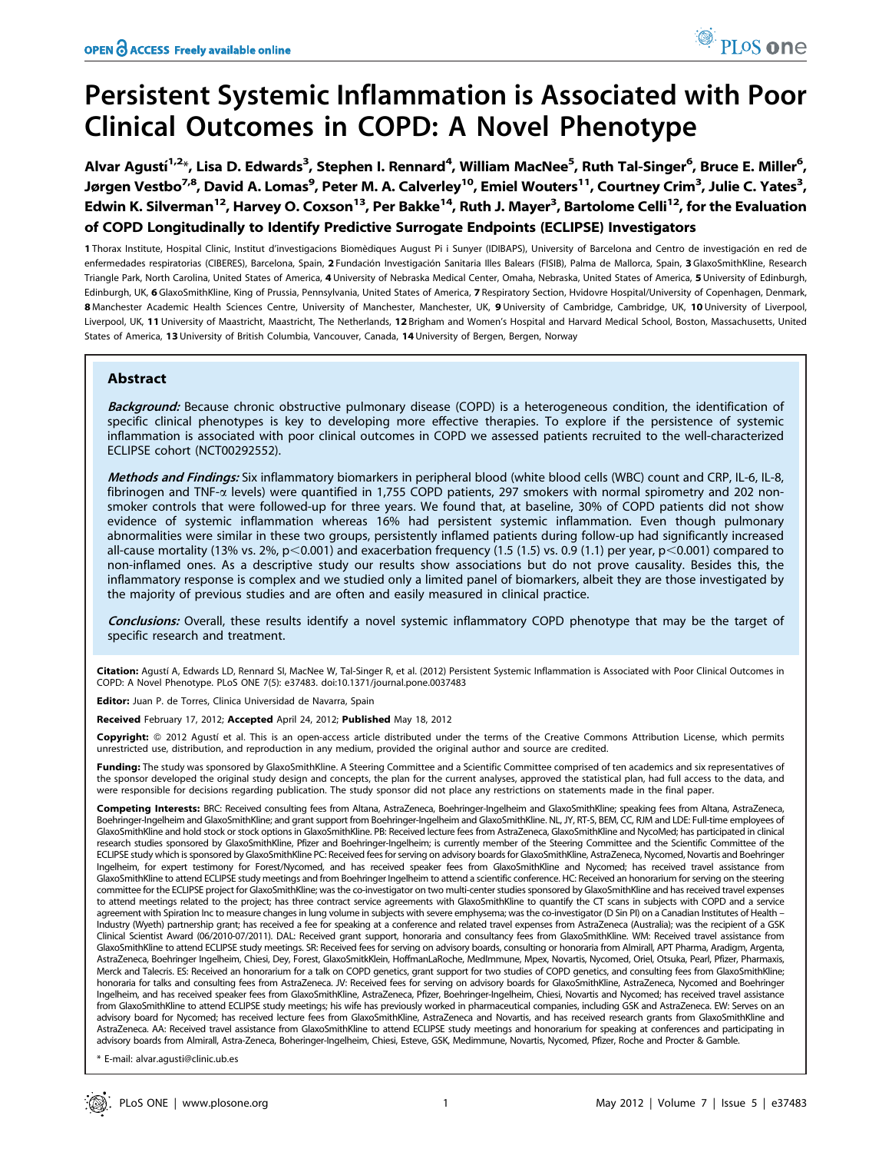# Persistent Systemic Inflammation is Associated with Poor Clinical Outcomes in COPD: A Novel Phenotype

Alvar Agustí<sup>1,2</sup>\*, Lisa D. Edwards<sup>3</sup>, Stephen I. Rennard<sup>4</sup>, William MacNee<sup>5</sup>, Ruth Tal-Singer<sup>6</sup>, Bruce E. Miller<sup>6</sup>, Jørgen Vestbo<sup>7,8</sup>, David A. Lomas<sup>9</sup>, Peter M. A. Calverley<sup>10</sup>, Emiel Wouters<sup>11</sup>, Courtney Crim<sup>3</sup>, Julie C. Yates<sup>3</sup>, Edwin K. Silverman<sup>12</sup>, Harvey O. Coxson<sup>13</sup>, Per Bakke<sup>14</sup>, Ruth J. Mayer<sup>3</sup>, Bartolome Celli<sup>12</sup>, for the Evaluation of COPD Longitudinally to Identify Predictive Surrogate Endpoints (ECLIPSE) Investigators

1 Thorax Institute, Hospital Clinic, Institut d'investigacions Biomèdiques August Pi i Sunyer (IDIBAPS), University of Barcelona and Centro de investigación en red de enfermedades respiratorias (CIBERES), Barcelona, Spain, 2 Fundación Investigación Sanitaria Illes Balears (FISIB), Palma de Mallorca, Spain, 3 GlaxoSmithKline, Research Triangle Park, North Carolina, United States of America, 4 University of Nebraska Medical Center, Omaha, Nebraska, United States of America, 5 University of Edinburgh, Edinburgh, UK, 6 GlaxoSmithKline, King of Prussia, Pennsylvania, United States of America, 7 Respiratory Section, Hvidovre Hospital/University of Copenhagen, Denmark, 8 Manchester Academic Health Sciences Centre, University of Manchester, Manchester, UK, 9 University of Cambridge, Cambridge, UK, 10 University of Liverpool, Liverpool, UK, 11 University of Maastricht, Maastricht, The Netherlands, 12 Brigham and Women's Hospital and Harvard Medical School, Boston, Massachusetts, United States of America, 13 University of British Columbia, Vancouver, Canada, 14 University of Bergen, Bergen, Norway

# Abstract

Background: Because chronic obstructive pulmonary disease (COPD) is a heterogeneous condition, the identification of specific clinical phenotypes is key to developing more effective therapies. To explore if the persistence of systemic inflammation is associated with poor clinical outcomes in COPD we assessed patients recruited to the well-characterized ECLIPSE cohort (NCT00292552).

Methods and Findings: Six inflammatory biomarkers in peripheral blood (white blood cells (WBC) count and CRP, IL-6, IL-8, fibrinogen and TNF-a levels) were quantified in 1,755 COPD patients, 297 smokers with normal spirometry and 202 nonsmoker controls that were followed-up for three years. We found that, at baseline, 30% of COPD patients did not show evidence of systemic inflammation whereas 16% had persistent systemic inflammation. Even though pulmonary abnormalities were similar in these two groups, persistently inflamed patients during follow-up had significantly increased all-cause mortality (13% vs. 2%,  $p<0.001$ ) and exacerbation frequency (1.5 (1.5) vs. 0.9 (1.1) per year,  $p<0.001$ ) compared to non-inflamed ones. As a descriptive study our results show associations but do not prove causality. Besides this, the inflammatory response is complex and we studied only a limited panel of biomarkers, albeit they are those investigated by the majority of previous studies and are often and easily measured in clinical practice.

Conclusions: Overall, these results identify a novel systemic inflammatory COPD phenotype that may be the target of specific research and treatment.

Citation: Agustí A, Edwards LD, Rennard SI, MacNee W, Tal-Singer R, et al. (2012) Persistent Systemic Inflammation is Associated with Poor Clinical Outcomes in COPD: A Novel Phenotype. PLoS ONE 7(5): e37483. doi:10.1371/journal.pone.0037483

Editor: Juan P. de Torres, Clinica Universidad de Navarra, Spain

Received February 17, 2012; Accepted April 24, 2012; Published May 18, 2012

Copyright: © 2012 Agustí et al. This is an open-access article distributed under the terms of the Creative Commons Attribution License, which permits unrestricted use, distribution, and reproduction in any medium, provided the original author and source are credited.

Funding: The study was sponsored by GlaxoSmithKline. A Steering Committee and a Scientific Committee comprised of ten academics and six representatives of the sponsor developed the original study design and concepts, the plan for the current analyses, approved the statistical plan, had full access to the data, and were responsible for decisions regarding publication. The study sponsor did not place any restrictions on statements made in the final paper.

Competing Interests: BRC: Received consulting fees from Altana, AstraZeneca, Boehringer-Ingelheim and GlaxoSmithKline; speaking fees from Altana, AstraZeneca, Boehringer-Ingelheim and GlaxoSmithKline; and grant support from Boehringer-Ingelheim and GlaxoSmithKline. NL, JY, RT-S, BEM, CC, RJM and LDE: Full-time employees of GlaxoSmithKline and hold stock or stock options in GlaxoSmithKline. PB: Received lecture fees from AstraZeneca, GlaxoSmithKline and NycoMed; has participated in clinical research studies sponsored by GlaxoSmithKline, Pfizer and Boehringer-Ingelheim; is currently member of the Steering Committee and the Scientific Committee of the ECLIPSE study which is sponsored by GlaxoSmithKline PC: Received fees for serving on advisory boards for GlaxoSmithKline, AstraZeneca, Nycomed, Novartis and Boehringer Ingelheim, for expert testimony for Forest/Nycomed, and has received speaker fees from GlaxoSmithKline and Nycomed; has received travel assistance from GlaxoSmithKline to attend ECLIPSE study meetings and from Boehringer Ingelheim to attend a scientific conference. HC: Received an honorarium for serving on the steering committee for the ECLIPSE project for GlaxoSmithKline; was the co-investigator on two multi-center studies sponsored by GlaxoSmithKline and has received travel expenses to attend meetings related to the project; has three contract service agreements with GlaxoSmithKline to quantify the CT scans in subjects with COPD and a service agreement with Spiration Inc to measure changes in lung volume in subjects with severe emphysema; was the co-investigator (D Sin PI) on a Canadian Institutes of Health – Industry (Wyeth) partnership grant; has received a fee for speaking at a conference and related travel expenses from AstraZeneca (Australia); was the recipient of a GSK Clinical Scientist Award (06/2010-07/2011). DAL: Received grant support, honoraria and consultancy fees from GlaxoSmithKline. WM: Received travel assistance from GlaxoSmithKline to attend ECLIPSE study meetings. SR: Received fees for serving on advisory boards, consulting or honoraria from Almirall, APT Pharma, Aradigm, Argenta, AstraZeneca, Boehringer Ingelheim, Chiesi, Dey, Forest, GlaxoSmitkKlein, HoffmanLaRoche, MedImmune, Mpex, Novartis, Nycomed, Oriel, Otsuka, Pearl, Pfizer, Pharmaxis, Merck and Talecris. ES: Received an honorarium for a talk on COPD genetics, grant support for two studies of COPD genetics, and consulting fees from GlaxoSmithKline; honoraria for talks and consulting fees from AstraZeneca. JV: Received fees for serving on advisory boards for GlaxoSmithKline, AstraZeneca, Nycomed and Boehringer Ingelheim, and has received speaker fees from GlaxoSmithKline, AstraZeneca, Pfizer, Boehringer-Ingelheim, Chiesi, Novartis and Nycomed; has received travel assistance from GlaxoSmithKline to attend ECLIPSE study meetings; his wife has previously worked in pharmaceutical companies, including GSK and AstraZeneca. EW: Serves on an advisory board for Nycomed; has received lecture fees from GlaxoSmithKline, AstraZeneca and Novartis, and has received research grants from GlaxoSmithKline and AstraZeneca. AA: Received travel assistance from GlaxoSmithKline to attend ECLIPSE study meetings and honorarium for speaking at conferences and participating in advisory boards from Almirall, Astra-Zeneca, Boheringer-Ingelheim, Chiesi, Esteve, GSK, Medimmune, Novartis, Nycomed, Pfizer, Roche and Procter & Gamble.

E-mail: alvar.agusti@clinic.ub.es

<sup>O</sup> PLoS one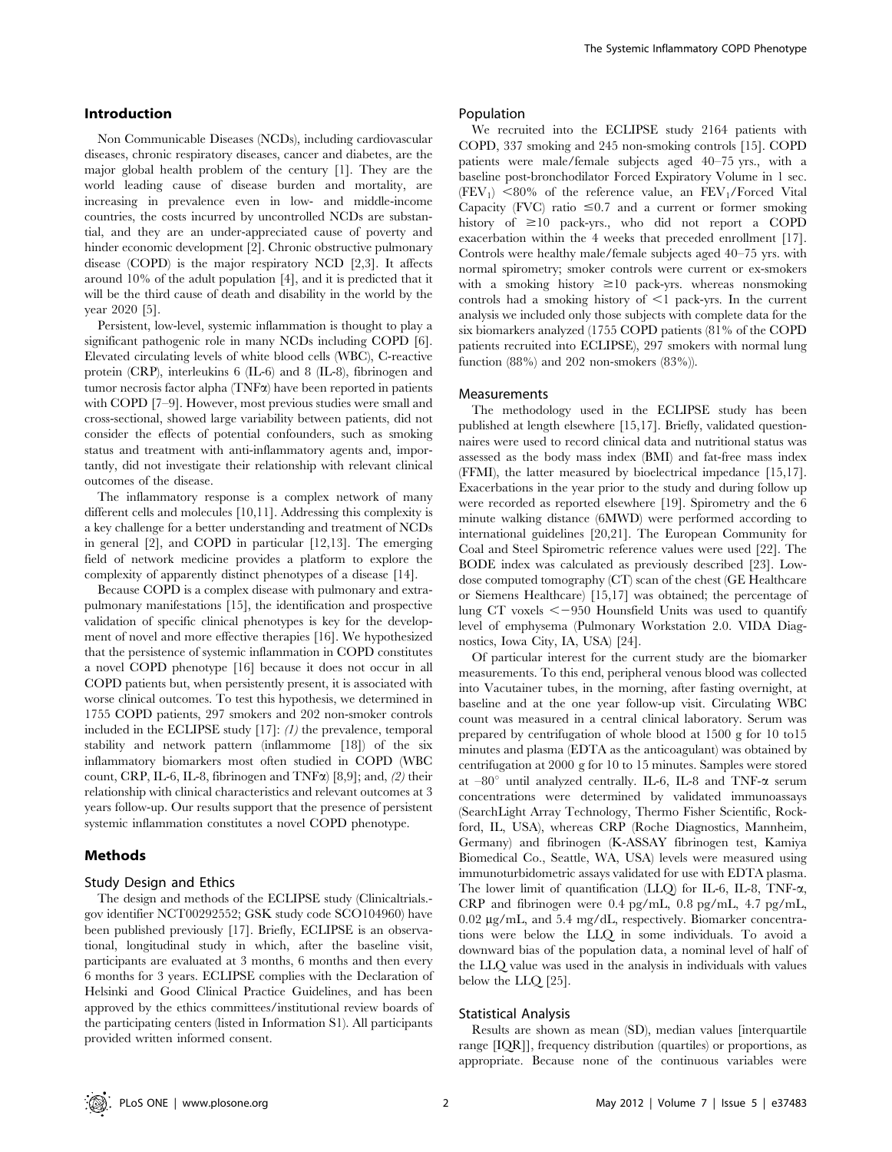## Introduction

Non Communicable Diseases (NCDs), including cardiovascular diseases, chronic respiratory diseases, cancer and diabetes, are the major global health problem of the century [1]. They are the world leading cause of disease burden and mortality, are increasing in prevalence even in low- and middle-income countries, the costs incurred by uncontrolled NCDs are substantial, and they are an under-appreciated cause of poverty and hinder economic development [2]. Chronic obstructive pulmonary disease (COPD) is the major respiratory NCD [2,3]. It affects around 10% of the adult population [4], and it is predicted that it will be the third cause of death and disability in the world by the year 2020 [5].

Persistent, low-level, systemic inflammation is thought to play a significant pathogenic role in many NCDs including COPD [6]. Elevated circulating levels of white blood cells (WBC), C-reactive protein (CRP), interleukins 6 (IL-6) and 8 (IL-8), fibrinogen and tumor necrosis factor alpha  $(TNF\alpha)$  have been reported in patients with COPD [7–9]. However, most previous studies were small and cross-sectional, showed large variability between patients, did not consider the effects of potential confounders, such as smoking status and treatment with anti-inflammatory agents and, importantly, did not investigate their relationship with relevant clinical outcomes of the disease.

The inflammatory response is a complex network of many different cells and molecules [10,11]. Addressing this complexity is a key challenge for a better understanding and treatment of NCDs in general [2], and COPD in particular [12,13]. The emerging field of network medicine provides a platform to explore the complexity of apparently distinct phenotypes of a disease [14].

Because COPD is a complex disease with pulmonary and extrapulmonary manifestations [15], the identification and prospective validation of specific clinical phenotypes is key for the development of novel and more effective therapies [16]. We hypothesized that the persistence of systemic inflammation in COPD constitutes a novel COPD phenotype [16] because it does not occur in all COPD patients but, when persistently present, it is associated with worse clinical outcomes. To test this hypothesis, we determined in 1755 COPD patients, 297 smokers and 202 non-smoker controls included in the ECLIPSE study [17]: (1) the prevalence, temporal stability and network pattern (inflammome [18]) of the six inflammatory biomarkers most often studied in COPD (WBC count, CRP, IL-6, IL-8, fibrinogen and TNF $\alpha$ ) [8,9]; and, (2) their relationship with clinical characteristics and relevant outcomes at 3 years follow-up. Our results support that the presence of persistent systemic inflammation constitutes a novel COPD phenotype.

## Methods

## Study Design and Ethics

The design and methods of the ECLIPSE study (Clinicaltrials. gov identifier NCT00292552; GSK study code SCO104960) have been published previously [17]. Briefly, ECLIPSE is an observational, longitudinal study in which, after the baseline visit, participants are evaluated at 3 months, 6 months and then every 6 months for 3 years. ECLIPSE complies with the Declaration of Helsinki and Good Clinical Practice Guidelines, and has been approved by the ethics committees/institutional review boards of the participating centers (listed in Information S1). All participants provided written informed consent.

#### Population

We recruited into the ECLIPSE study 2164 patients with COPD, 337 smoking and 245 non-smoking controls [15]. COPD patients were male/female subjects aged 40–75 yrs., with a baseline post-bronchodilator Forced Expiratory Volume in 1 sec.  $(FEV_1)$  <80% of the reference value, an  $FEV_1/Forced$  Vital Capacity (FVC) ratio  $\leq 0.7$  and a current or former smoking history of  $\geq 10$  pack-yrs., who did not report a COPD exacerbation within the 4 weeks that preceded enrollment [17]. Controls were healthy male/female subjects aged 40–75 yrs. with normal spirometry; smoker controls were current or ex-smokers with a smoking history  $\geq 10$  pack-yrs. whereas nonsmoking controls had a smoking history of  $\leq 1$  pack-yrs. In the current analysis we included only those subjects with complete data for the six biomarkers analyzed (1755 COPD patients (81% of the COPD patients recruited into ECLIPSE), 297 smokers with normal lung function (88%) and 202 non-smokers (83%)).

## Measurements

The methodology used in the ECLIPSE study has been published at length elsewhere [15,17]. Briefly, validated questionnaires were used to record clinical data and nutritional status was assessed as the body mass index (BMI) and fat-free mass index (FFMI), the latter measured by bioelectrical impedance [15,17]. Exacerbations in the year prior to the study and during follow up were recorded as reported elsewhere [19]. Spirometry and the 6 minute walking distance (6MWD) were performed according to international guidelines [20,21]. The European Community for Coal and Steel Spirometric reference values were used [22]. The BODE index was calculated as previously described [23]. Lowdose computed tomography (CT) scan of the chest (GE Healthcare or Siemens Healthcare) [15,17] was obtained; the percentage of lung CT voxels  $\leq -950$  Hounsfield Units was used to quantify level of emphysema (Pulmonary Workstation 2.0. VIDA Diagnostics, Iowa City, IA, USA) [24].

Of particular interest for the current study are the biomarker measurements. To this end, peripheral venous blood was collected into Vacutainer tubes, in the morning, after fasting overnight, at baseline and at the one year follow-up visit. Circulating WBC count was measured in a central clinical laboratory. Serum was prepared by centrifugation of whole blood at 1500 g for 10 to15 minutes and plasma (EDTA as the anticoagulant) was obtained by centrifugation at 2000 g for 10 to 15 minutes. Samples were stored at  $-80^\circ$  until analyzed centrally. IL-6, IL-8 and TNF- $\alpha$  serum concentrations were determined by validated immunoassays (SearchLight Array Technology, Thermo Fisher Scientific, Rockford, IL, USA), whereas CRP (Roche Diagnostics, Mannheim, Germany) and fibrinogen (K-ASSAY fibrinogen test, Kamiya Biomedical Co., Seattle, WA, USA) levels were measured using immunoturbidometric assays validated for use with EDTA plasma. The lower limit of quantification (LLQ) for IL-6, IL-8, TNF-a, CRP and fibrinogen were 0.4 pg/mL, 0.8 pg/mL, 4.7 pg/mL,  $0.02 \mu$ g/mL, and 5.4 mg/dL, respectively. Biomarker concentrations were below the LLQ in some individuals. To avoid a downward bias of the population data, a nominal level of half of the LLQ value was used in the analysis in individuals with values below the LLQ [25].

#### Statistical Analysis

Results are shown as mean (SD), median values [interquartile range [IQR]], frequency distribution (quartiles) or proportions, as appropriate. Because none of the continuous variables were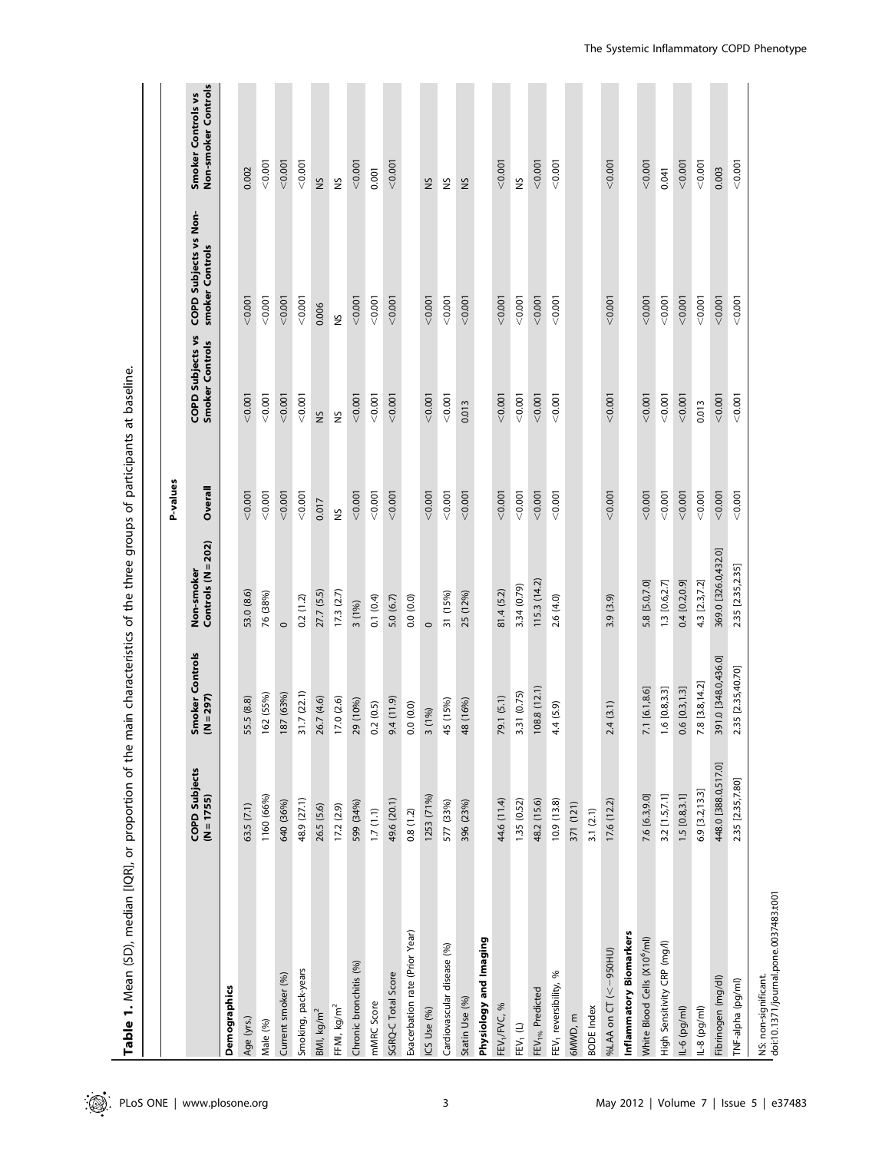| Table 1. Mean (SD), median [IQR], or proportion of the m.     |                                      |                                       | ain characteristics of the three groups of participants at baseline |               |                                     |                                          |                                           |
|---------------------------------------------------------------|--------------------------------------|---------------------------------------|---------------------------------------------------------------------|---------------|-------------------------------------|------------------------------------------|-------------------------------------------|
|                                                               |                                      |                                       |                                                                     | P-values      |                                     |                                          |                                           |
|                                                               | <b>COPD Subjects</b><br>$(N = 1755)$ | moker Controls<br>Smoker<br>(N = 297) | Controls (N = 202)<br>Non-smoker                                    | Overall       | COPD Subjects vs<br>Smoker Controls | COPD Subjects vs Non-<br>smoker Controls | Non-smoker Controls<br>Smoker Controls vs |
| Demographics                                                  |                                      |                                       |                                                                     |               |                                     |                                          |                                           |
| Age (yrs.)                                                    | 63.5(7.1)                            | 55.5 (8.8)                            | 53.0 (8.6)                                                          | < 0.001       | 0.001                               | < 0.001                                  | 0.002                                     |
| Male (%)                                                      | 1160 (66%)                           | 162 (55%)                             | 76 (38%)                                                            | 0.001         | 0.001                               | < 0.001                                  | 0.001                                     |
| Current smoker (%)                                            | 640 (36%)                            | 187 (63%)                             | $\circ$                                                             | < 0.001       | 0.001                               | < 0.001                                  | < 0.001                                   |
| Smoking, pack-years                                           | 48.9 (27.1)                          | 1.7(22.1)<br>$\overline{m}$           | 0.2(1.2)                                                            | < 0.001       | 0.001                               | < 0.001                                  | 0.001                                     |
| BMI, kg/m <sup>2</sup>                                        | 26.5 (5.6)                           | 6.7 (4.6)<br>$\tilde{\sim}$           | 27.7 (5.5)                                                          | 0.017         | S                                   | 0.006                                    | SN                                        |
| FFMI, $kg/m2$                                                 | 17.2(2.9)                            | 17.0(2.6)                             | 17.3(2.7)                                                           | $\frac{5}{2}$ | $\tilde{\mathbf{S}}$                | $\tilde{\mathbf{S}}$                     | $\frac{5}{2}$                             |
| Chronic bronchitis (%)                                        | 599 (34%)                            | 29 (10%)                              | 3(1%)                                                               | < 0.001       | 0.001                               | < 0.001                                  | < 0.001                                   |
| mMRC Score                                                    | 1.7(1.1)                             | 0.2(0.5)                              | 0.1(0.4)                                                            | < 0.001       | 0.001                               | < 0.001                                  | 0.001                                     |
| SGRQ-C Total Score                                            | 49.6 (20.1)                          | (6.11, 9.6)                           | 5.0(6.7)                                                            | < 0.001       | < 0.001                             | < 0.001                                  | < 0.001                                   |
| Exacerbation rate (Prior Year)                                | 0.8(1.2)                             | 0.0(0.0)                              | 0.0(0.0)                                                            |               |                                     |                                          |                                           |
| ICS Use (%)                                                   | 1253 (71%)                           | (1%)<br>$\sim$                        | $\circ$                                                             | < 0.001       | 0.001                               | < 0.001                                  | S                                         |
| Cardiovascular disease (%)                                    | 577 (33%)                            | 45 (15%)                              | 31 (15%)                                                            | < 0.001       | 0.001                               | < 0.001                                  | SN                                        |
| Statin Use (%)                                                | 396 (23%)                            | 48 (16%)                              | 25 (12%)                                                            | < 0.001       | 0.013                               | < 0.001                                  | Š                                         |
| Physiology and Imaging                                        |                                      |                                       |                                                                     |               |                                     |                                          |                                           |
| FEV <sub>1</sub> /FVC, %                                      | 44.6 (11.4)                          | 79.1 (5.1)                            | 81.4 (5.2)                                                          | < 0.001       | 0.001                               | < 0.001                                  | < 0.001                                   |
| $\mathsf{FEV}_1(\mathsf{L})$                                  | 1.35 (0.52)                          | 31 (0.75)<br>$\dot{m}$                | 3.34 (0.79)                                                         | 0.001         | 0.001                               | 0.001                                    | 2N                                        |
| FEV <sub>1%</sub> Predicted                                   | 48.2 (15.6)                          | 108.8(12.1)                           | 115.3(14.2)                                                         | < 0.001       | 0.001                               | < 0.001                                  | < 0.001                                   |
| FEV <sub>1</sub> reversibility, %                             | 10.9(13.8)                           | .4(5.9)<br>4.                         | 2.6(4.0)                                                            | < 0.001       | < 0.001                             | < 0.001                                  | 0.001                                     |
| 6MWD, m                                                       | 371 (121)                            |                                       |                                                                     |               |                                     |                                          |                                           |
| <b>BODE</b> Index                                             | 3.1(2.1)                             |                                       |                                                                     |               |                                     |                                          |                                           |
| %LAA on CT (<-950HU)                                          | 17.6 (12.2)                          | .4(3.1)<br>$\sim$                     | 3.9(3.9)                                                            | < 0.001       | 0.001                               | < 0.001                                  | < 0.001                                   |
| Inflammatory Biomarkers                                       |                                      |                                       |                                                                     |               |                                     |                                          |                                           |
| White Blood Cells (X10 <sup>6</sup> /ml)                      | 7.6 [6.3,9.0]                        | 7.1 [6.1,8.6]                         | 5.8 [5.0,7.0]                                                       | < 0.001       | < 0.001                             | < 0.001                                  | < 0.001                                   |
| High Sensitivity CRP (mg/l)                                   | 3.2 [1.5,7.1]                        | 1.6 [0.8,3.3]                         | 1.3 [0.6,2.7]                                                       | 0.001         | < 0.001                             | < 0.001                                  | 0.041                                     |
| $11-6$ (pg/ml)                                                | 1.5 [0.8, 3.1]                       | 0.6 [0.3, 1.3]                        | 0.4 [0.2,0.9]                                                       | < 0.001       | < 0.001                             | < 0.001                                  | < 0.001                                   |
| $1L-8$ (pg/ml)                                                | 6.9 [3.2, 13.3]                      | 7.8 [3.8, 14.2]                       | 4.3 [2.3,7.2]                                                       | 0.001         | 0.013                               | < 0.001                                  | 0.001                                     |
| Fibrinogen (mg/dl)                                            | 448.0 [388.0,517.0]                  | 391.0 [348.0,436.0]                   | 369.0 [326.0,432.0]                                                 | < 0.001       | < 0.001                             | < 0.001                                  | 0.003                                     |
| TNF-alpha (pg/ml)                                             | 2.35 [2.35,7.80]                     | 2.35 [2.35,40.70]                     | 2.35 [2.35,2.35]                                                    | < 0.001       | < 0.001                             | < 0.001                                  | < 0.001                                   |
| NS: non-significant.<br>doi:10.1371/journal.pone.0037483.t001 |                                      |                                       |                                                                     |               |                                     |                                          |                                           |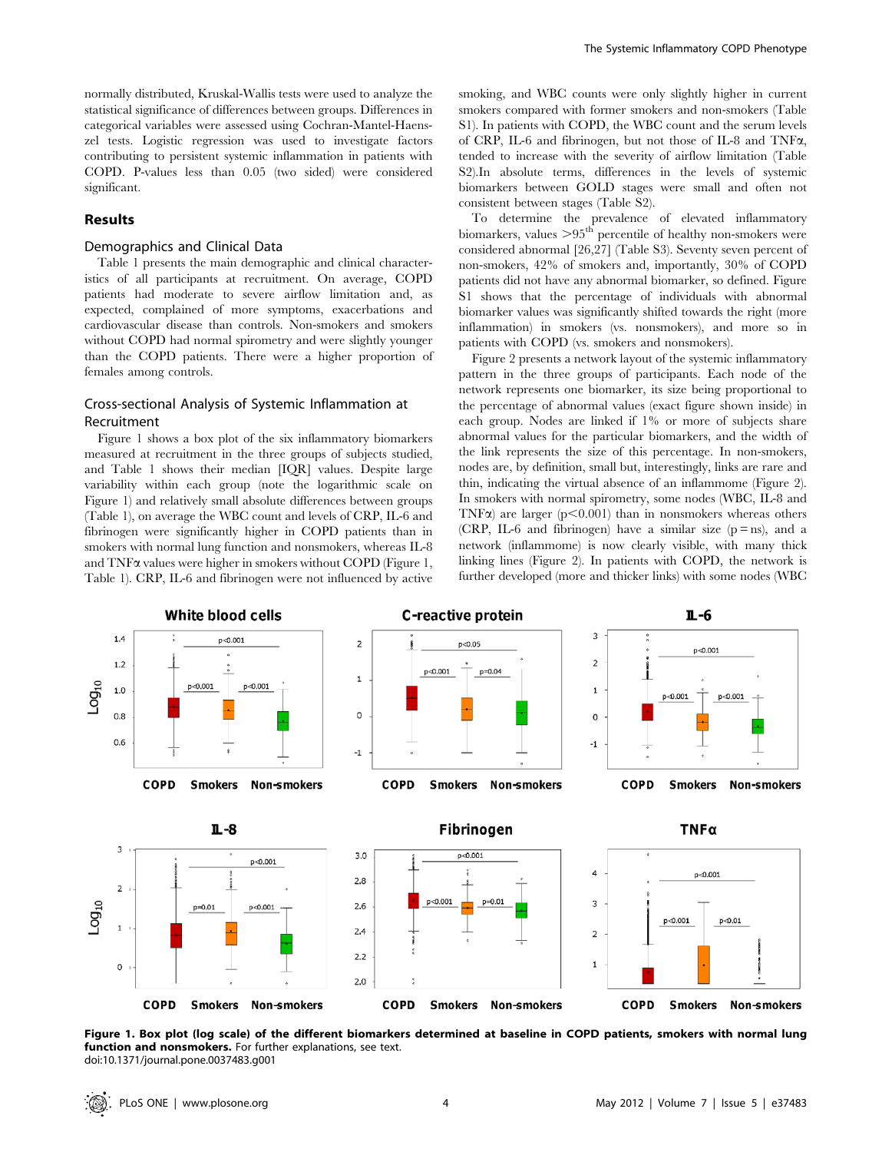normally distributed, Kruskal-Wallis tests were used to analyze the statistical significance of differences between groups. Differences in categorical variables were assessed using Cochran-Mantel-Haenszel tests. Logistic regression was used to investigate factors contributing to persistent systemic inflammation in patients with COPD. P-values less than 0.05 (two sided) were considered significant.

## Results

## Demographics and Clinical Data

Table 1 presents the main demographic and clinical characteristics of all participants at recruitment. On average, COPD patients had moderate to severe airflow limitation and, as expected, complained of more symptoms, exacerbations and cardiovascular disease than controls. Non-smokers and smokers without COPD had normal spirometry and were slightly younger than the COPD patients. There were a higher proportion of females among controls.

# Cross-sectional Analysis of Systemic Inflammation at Recruitment

Figure 1 shows a box plot of the six inflammatory biomarkers measured at recruitment in the three groups of subjects studied, and Table 1 shows their median [IQR] values. Despite large variability within each group (note the logarithmic scale on Figure 1) and relatively small absolute differences between groups (Table 1), on average the WBC count and levels of CRP, IL-6 and fibrinogen were significantly higher in COPD patients than in smokers with normal lung function and nonsmokers, whereas IL-8 and  $TNF\alpha$  values were higher in smokers without COPD (Figure 1, Table 1). CRP, IL-6 and fibrinogen were not influenced by active

smoking, and WBC counts were only slightly higher in current smokers compared with former smokers and non-smokers (Table S1). In patients with COPD, the WBC count and the serum levels of CRP, IL-6 and fibrinogen, but not those of IL-8 and TNFa, tended to increase with the severity of airflow limitation (Table S2).In absolute terms, differences in the levels of systemic biomarkers between GOLD stages were small and often not consistent between stages (Table S2).

To determine the prevalence of elevated inflammatory biomarkers, values  $>95<sup>th</sup>$  percentile of healthy non-smokers were considered abnormal [26,27] (Table S3). Seventy seven percent of non-smokers, 42% of smokers and, importantly, 30% of COPD patients did not have any abnormal biomarker, so defined. Figure S1 shows that the percentage of individuals with abnormal biomarker values was significantly shifted towards the right (more inflammation) in smokers (vs. nonsmokers), and more so in patients with COPD (vs. smokers and nonsmokers).

Figure 2 presents a network layout of the systemic inflammatory pattern in the three groups of participants. Each node of the network represents one biomarker, its size being proportional to the percentage of abnormal values (exact figure shown inside) in each group. Nodes are linked if 1% or more of subjects share abnormal values for the particular biomarkers, and the width of the link represents the size of this percentage. In non-smokers, nodes are, by definition, small but, interestingly, links are rare and thin, indicating the virtual absence of an inflammome (Figure 2). In smokers with normal spirometry, some nodes (WBC, IL-8 and TNF $\alpha$ ) are larger (p $\leq$ 0.001) than in nonsmokers whereas others (CRP, IL-6 and fibrinogen) have a similar size  $(p = ns)$ , and a network (inflammome) is now clearly visible, with many thick linking lines (Figure 2). In patients with COPD, the network is further developed (more and thicker links) with some nodes (WBC



Figure 1. Box plot (log scale) of the different biomarkers determined at baseline in COPD patients, smokers with normal lung function and nonsmokers. For further explanations, see text. doi:10.1371/journal.pone.0037483.g001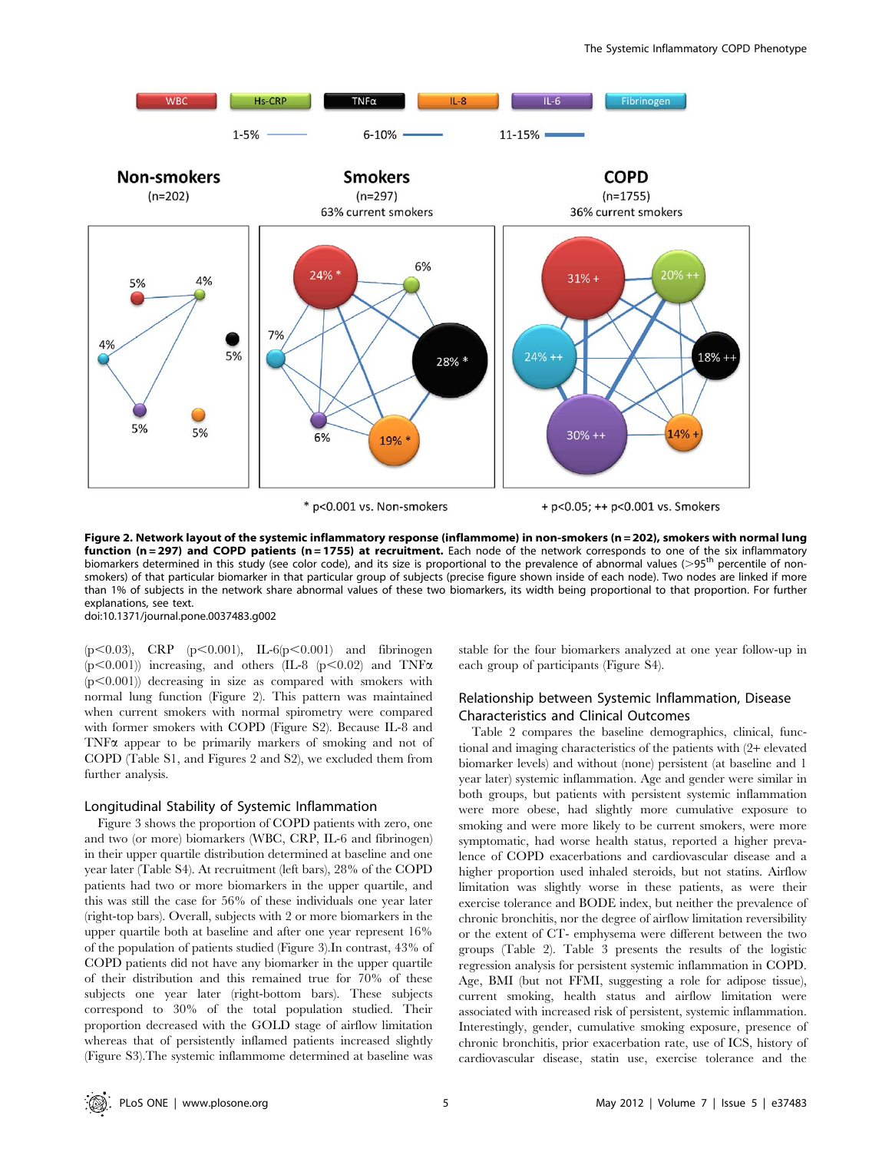

Figure 2. Network layout of the systemic inflammatory response (inflammome) in non-smokers (n = 202), smokers with normal lung function (n = 297) and COPD patients (n = 1755) at recruitment. Each node of the network corresponds to one of the six inflammatory biomarkers determined in this study (see color code), and its size is proportional to the prevalence of abnormal values (>95<sup>th</sup> percentile of nonsmokers) of that particular biomarker in that particular group of subjects (precise figure shown inside of each node). Two nodes are linked if more than 1% of subjects in the network share abnormal values of these two biomarkers, its width being proportional to that proportion. For further explanations, see text.

doi:10.1371/journal.pone.0037483.g002

(p $<0.03$ ), CRP (p $<0.001$ ), IL-6(p $<0.001$ ) and fibrinogen (p $<0.001$ )) increasing, and others (IL-8 (p $<0.02$ ) and TNF $\alpha$  $(p<0.001)$ ) decreasing in size as compared with smokers with normal lung function (Figure 2). This pattern was maintained when current smokers with normal spirometry were compared with former smokers with COPD (Figure S2). Because IL-8 and TNFa appear to be primarily markers of smoking and not of COPD (Table S1, and Figures 2 and S2), we excluded them from further analysis.

## Longitudinal Stability of Systemic Inflammation

Figure 3 shows the proportion of COPD patients with zero, one and two (or more) biomarkers (WBC, CRP, IL-6 and fibrinogen) in their upper quartile distribution determined at baseline and one year later (Table S4). At recruitment (left bars), 28% of the COPD patients had two or more biomarkers in the upper quartile, and this was still the case for 56% of these individuals one year later (right-top bars). Overall, subjects with 2 or more biomarkers in the upper quartile both at baseline and after one year represent 16% of the population of patients studied (Figure 3).In contrast, 43% of COPD patients did not have any biomarker in the upper quartile of their distribution and this remained true for 70% of these subjects one year later (right-bottom bars). These subjects correspond to 30% of the total population studied. Their proportion decreased with the GOLD stage of airflow limitation whereas that of persistently inflamed patients increased slightly (Figure S3).The systemic inflammome determined at baseline was stable for the four biomarkers analyzed at one year follow-up in each group of participants (Figure S4).

# Relationship between Systemic Inflammation, Disease Characteristics and Clinical Outcomes

Table 2 compares the baseline demographics, clinical, functional and imaging characteristics of the patients with (2+ elevated biomarker levels) and without (none) persistent (at baseline and 1 year later) systemic inflammation. Age and gender were similar in both groups, but patients with persistent systemic inflammation were more obese, had slightly more cumulative exposure to smoking and were more likely to be current smokers, were more symptomatic, had worse health status, reported a higher prevalence of COPD exacerbations and cardiovascular disease and a higher proportion used inhaled steroids, but not statins. Airflow limitation was slightly worse in these patients, as were their exercise tolerance and BODE index, but neither the prevalence of chronic bronchitis, nor the degree of airflow limitation reversibility or the extent of CT- emphysema were different between the two groups (Table 2). Table 3 presents the results of the logistic regression analysis for persistent systemic inflammation in COPD. Age, BMI (but not FFMI, suggesting a role for adipose tissue), current smoking, health status and airflow limitation were associated with increased risk of persistent, systemic inflammation. Interestingly, gender, cumulative smoking exposure, presence of chronic bronchitis, prior exacerbation rate, use of ICS, history of cardiovascular disease, statin use, exercise tolerance and the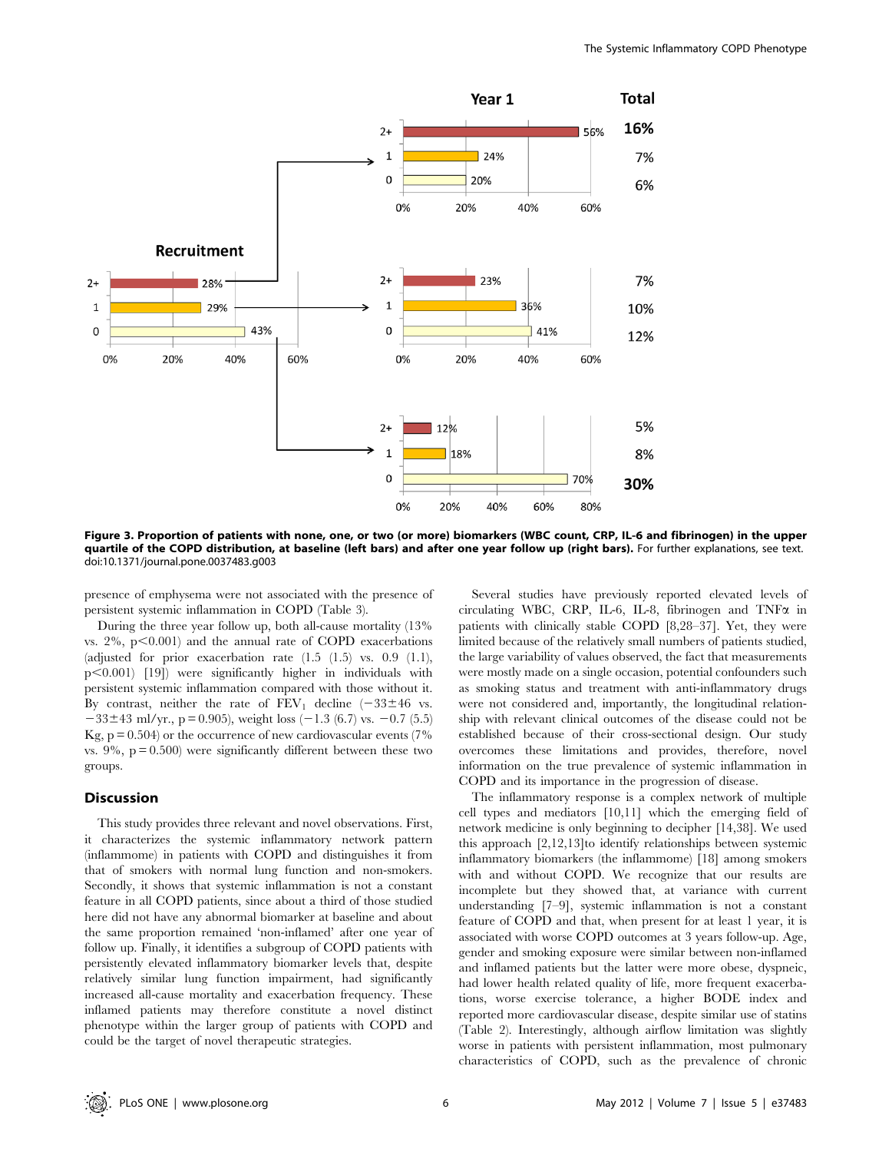

Figure 3. Proportion of patients with none, one, or two (or more) biomarkers (WBC count, CRP, IL-6 and fibrinogen) in the upper quartile of the COPD distribution, at baseline (left bars) and after one year follow up (right bars). For further explanations, see text. doi:10.1371/journal.pone.0037483.g003

presence of emphysema were not associated with the presence of persistent systemic inflammation in COPD (Table 3).

During the three year follow up, both all-cause mortality (13% vs.  $2\%$ ,  $p<0.001$ ) and the annual rate of COPD exacerbations (adjusted for prior exacerbation rate  $(1.5 \t(1.5)$  vs.  $0.9 \t(1.1)$ ,  $p<0.001$  [19]) were significantly higher in individuals with persistent systemic inflammation compared with those without it. By contrast, neither the rate of  $FEV_1$  decline  $(-33\pm46$  vs.  $-33\pm43$  ml/yr., p = 0.905), weight loss (-1.3 (6.7) vs. -0.7 (5.5) Kg,  $p = 0.504$ ) or the occurrence of new cardiovascular events (7%) vs.  $9\%$ ,  $p = 0.500$ ) were significantly different between these two groups.

## **Discussion**

This study provides three relevant and novel observations. First, it characterizes the systemic inflammatory network pattern (inflammome) in patients with COPD and distinguishes it from that of smokers with normal lung function and non-smokers. Secondly, it shows that systemic inflammation is not a constant feature in all COPD patients, since about a third of those studied here did not have any abnormal biomarker at baseline and about the same proportion remained 'non-inflamed' after one year of follow up. Finally, it identifies a subgroup of COPD patients with persistently elevated inflammatory biomarker levels that, despite relatively similar lung function impairment, had significantly increased all-cause mortality and exacerbation frequency. These inflamed patients may therefore constitute a novel distinct phenotype within the larger group of patients with COPD and could be the target of novel therapeutic strategies.

Several studies have previously reported elevated levels of circulating WBC, CRP, IL-6, IL-8, fibrinogen and TNF $\alpha$  in patients with clinically stable COPD [8,28–37]. Yet, they were limited because of the relatively small numbers of patients studied, the large variability of values observed, the fact that measurements were mostly made on a single occasion, potential confounders such as smoking status and treatment with anti-inflammatory drugs were not considered and, importantly, the longitudinal relationship with relevant clinical outcomes of the disease could not be established because of their cross-sectional design. Our study overcomes these limitations and provides, therefore, novel information on the true prevalence of systemic inflammation in COPD and its importance in the progression of disease.

The inflammatory response is a complex network of multiple cell types and mediators [10,11] which the emerging field of network medicine is only beginning to decipher [14,38]. We used this approach [2,12,13]to identify relationships between systemic inflammatory biomarkers (the inflammome) [18] among smokers with and without COPD. We recognize that our results are incomplete but they showed that, at variance with current understanding [7–9], systemic inflammation is not a constant feature of COPD and that, when present for at least 1 year, it is associated with worse COPD outcomes at 3 years follow-up. Age, gender and smoking exposure were similar between non-inflamed and inflamed patients but the latter were more obese, dyspneic, had lower health related quality of life, more frequent exacerbations, worse exercise tolerance, a higher BODE index and reported more cardiovascular disease, despite similar use of statins (Table 2). Interestingly, although airflow limitation was slightly worse in patients with persistent inflammation, most pulmonary characteristics of COPD, such as the prevalence of chronic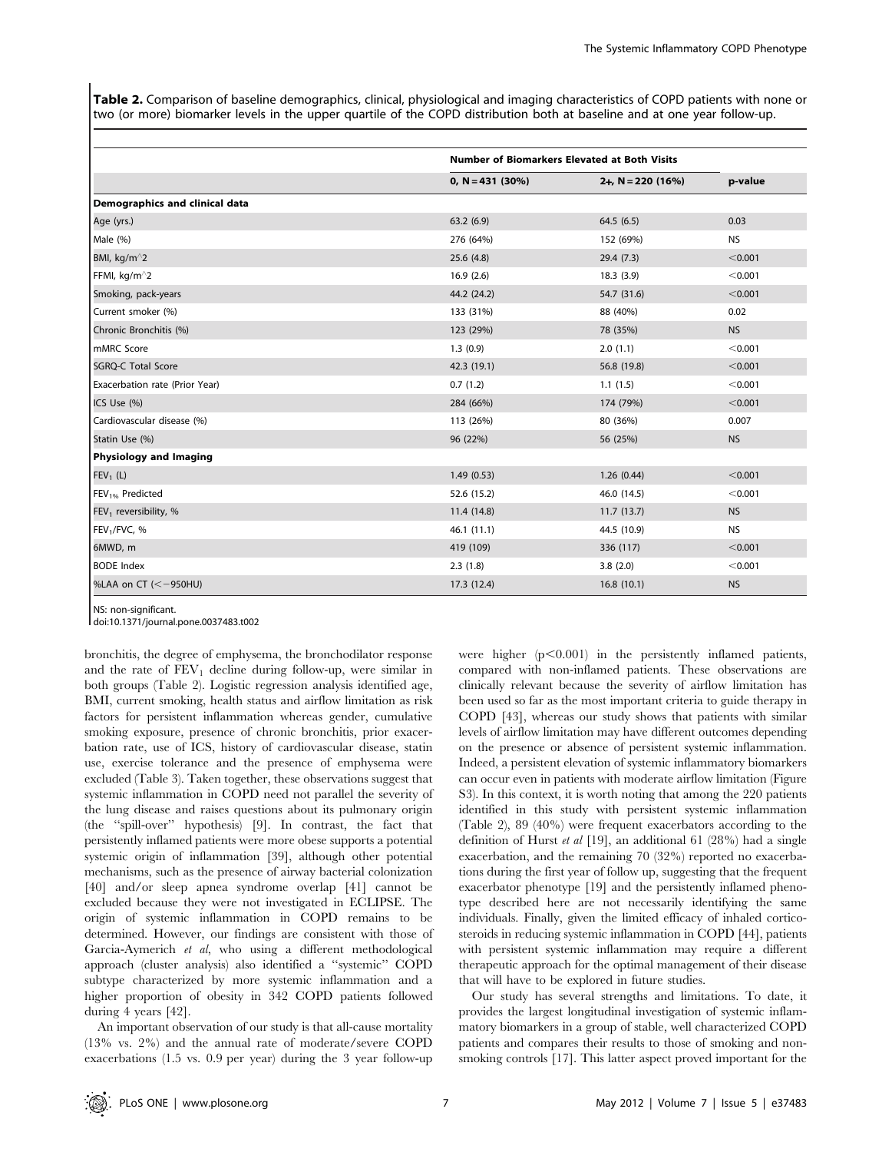Table 2. Comparison of baseline demographics, clinical, physiological and imaging characteristics of COPD patients with none or two (or more) biomarker levels in the upper quartile of the COPD distribution both at baseline and at one year follow-up.

|                                   | <b>Number of Biomarkers Elevated at Both Visits</b> |                      |           |
|-----------------------------------|-----------------------------------------------------|----------------------|-----------|
|                                   | $0, N = 431 (30%)$                                  | $2+$ , N = 220 (16%) | p-value   |
| Demographics and clinical data    |                                                     |                      |           |
| Age (yrs.)                        | 63.2(6.9)                                           | 64.5(6.5)            | 0.03      |
| Male (%)                          | 276 (64%)                                           | 152 (69%)            | <b>NS</b> |
| BMI, kg/m <sup>^</sup> 2          | 25.6(4.8)                                           | 29.4(7.3)            | < 0.001   |
| FFMI, kg/m <sup>^2</sup>          | 16.9(2.6)                                           | 18.3(3.9)            | < 0.001   |
| Smoking, pack-years               | 44.2 (24.2)                                         | 54.7 (31.6)          | < 0.001   |
| Current smoker (%)                | 133 (31%)                                           | 88 (40%)             | 0.02      |
| Chronic Bronchitis (%)            | 123 (29%)                                           | 78 (35%)             | <b>NS</b> |
| mMRC Score                        | 1.3(0.9)                                            | 2.0(1.1)             | < 0.001   |
| <b>SGRQ-C Total Score</b>         | 42.3 (19.1)                                         | 56.8 (19.8)          | < 0.001   |
| Exacerbation rate (Prior Year)    | 0.7(1.2)                                            | 1.1(1.5)             | < 0.001   |
| ICS Use (%)                       | 284 (66%)                                           | 174 (79%)            | < 0.001   |
| Cardiovascular disease (%)        | 113 (26%)                                           | 80 (36%)             | 0.007     |
| Statin Use (%)                    | 96 (22%)                                            | 56 (25%)             | <b>NS</b> |
| <b>Physiology and Imaging</b>     |                                                     |                      |           |
| $FEV1$ (L)                        | 1.49(0.53)                                          | 1.26(0.44)           | < 0.001   |
| FEV <sub>1%</sub> Predicted       | 52.6 (15.2)                                         | 46.0 (14.5)          | < 0.001   |
| FEV <sub>1</sub> reversibility, % | 11.4 (14.8)                                         | 11.7(13.7)           | <b>NS</b> |
| FEV <sub>1</sub> /FVC, %          | 46.1 (11.1)                                         | 44.5 (10.9)          | <b>NS</b> |
| 6MWD, m                           | 419 (109)                                           | 336 (117)            | < 0.001   |
| <b>BODE</b> Index                 | 2.3(1.8)                                            | 3.8(2.0)             | < 0.001   |
| %LAA on CT ( $\leq -950$ HU)      | 17.3 (12.4)                                         | 16.8(10.1)           | <b>NS</b> |

NS: non-significant.

doi:10.1371/journal.pone.0037483.t002

bronchitis, the degree of emphysema, the bronchodilator response and the rate of  $FEV_1$  decline during follow-up, were similar in both groups (Table 2). Logistic regression analysis identified age, BMI, current smoking, health status and airflow limitation as risk factors for persistent inflammation whereas gender, cumulative smoking exposure, presence of chronic bronchitis, prior exacerbation rate, use of ICS, history of cardiovascular disease, statin use, exercise tolerance and the presence of emphysema were excluded (Table 3). Taken together, these observations suggest that systemic inflammation in COPD need not parallel the severity of the lung disease and raises questions about its pulmonary origin (the ''spill-over'' hypothesis) [9]. In contrast, the fact that persistently inflamed patients were more obese supports a potential systemic origin of inflammation [39], although other potential mechanisms, such as the presence of airway bacterial colonization [40] and/or sleep apnea syndrome overlap [41] cannot be excluded because they were not investigated in ECLIPSE. The origin of systemic inflammation in COPD remains to be determined. However, our findings are consistent with those of Garcia-Aymerich et al, who using a different methodological approach (cluster analysis) also identified a ''systemic'' COPD subtype characterized by more systemic inflammation and a higher proportion of obesity in 342 COPD patients followed during 4 years [42].

An important observation of our study is that all-cause mortality (13% vs. 2%) and the annual rate of moderate/severe COPD exacerbations (1.5 vs. 0.9 per year) during the 3 year follow-up were higher  $(p<0.001)$  in the persistently inflamed patients, compared with non-inflamed patients. These observations are clinically relevant because the severity of airflow limitation has been used so far as the most important criteria to guide therapy in COPD [43], whereas our study shows that patients with similar levels of airflow limitation may have different outcomes depending on the presence or absence of persistent systemic inflammation. Indeed, a persistent elevation of systemic inflammatory biomarkers can occur even in patients with moderate airflow limitation (Figure S3). In this context, it is worth noting that among the 220 patients identified in this study with persistent systemic inflammation (Table 2), 89 (40%) were frequent exacerbators according to the definition of Hurst et al [19], an additional 61 (28%) had a single exacerbation, and the remaining 70 (32%) reported no exacerbations during the first year of follow up, suggesting that the frequent exacerbator phenotype [19] and the persistently inflamed phenotype described here are not necessarily identifying the same individuals. Finally, given the limited efficacy of inhaled corticosteroids in reducing systemic inflammation in COPD [44], patients with persistent systemic inflammation may require a different therapeutic approach for the optimal management of their disease that will have to be explored in future studies.

Our study has several strengths and limitations. To date, it provides the largest longitudinal investigation of systemic inflammatory biomarkers in a group of stable, well characterized COPD patients and compares their results to those of smoking and nonsmoking controls [17]. This latter aspect proved important for the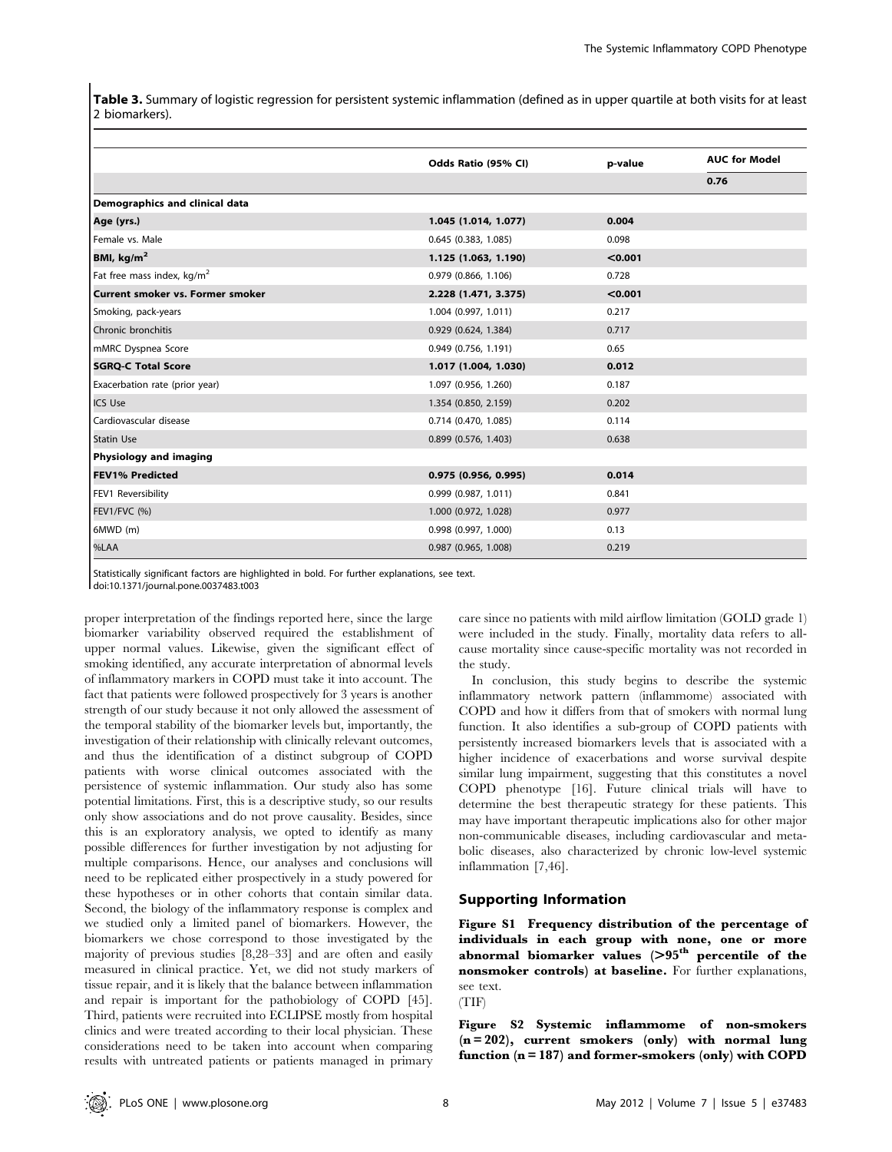Table 3. Summary of logistic regression for persistent systemic inflammation (defined as in upper quartile at both visits for at least 2 biomarkers).

|                                        | Odds Ratio (95% CI)    | p-value | <b>AUC for Model</b> |
|----------------------------------------|------------------------|---------|----------------------|
|                                        |                        |         | 0.76                 |
| Demographics and clinical data         |                        |         |                      |
| Age (yrs.)                             | 1.045 (1.014, 1.077)   | 0.004   |                      |
| Female vs. Male                        | 0.645 (0.383, 1.085)   | 0.098   |                      |
| BMI, $kg/m2$                           | 1.125 (1.063, 1.190)   | < 0.001 |                      |
| Fat free mass index, kg/m <sup>2</sup> | 0.979 (0.866, 1.106)   | 0.728   |                      |
| Current smoker vs. Former smoker       | 2.228 (1.471, 3.375)   | < 0.001 |                      |
| Smoking, pack-years                    | 1.004 (0.997, 1.011)   | 0.217   |                      |
| Chronic bronchitis                     | 0.929(0.624, 1.384)    | 0.717   |                      |
| mMRC Dyspnea Score                     | $0.949$ (0.756, 1.191) | 0.65    |                      |
| <b>SGRQ-C Total Score</b>              | 1.017 (1.004, 1.030)   | 0.012   |                      |
| Exacerbation rate (prior year)         | 1.097 (0.956, 1.260)   | 0.187   |                      |
| <b>ICS Use</b>                         | 1.354 (0.850, 2.159)   | 0.202   |                      |
| Cardiovascular disease                 | 0.714 (0.470, 1.085)   | 0.114   |                      |
| <b>Statin Use</b>                      | $0.899$ (0.576, 1.403) | 0.638   |                      |
| Physiology and imaging                 |                        |         |                      |
| <b>FEV1% Predicted</b>                 | $0.975$ (0.956, 0.995) | 0.014   |                      |
| FEV1 Reversibility                     | 0.999(0.987, 1.011)    | 0.841   |                      |
| <b>FEV1/FVC (%)</b>                    | 1.000 (0.972, 1.028)   | 0.977   |                      |
| 6MWD (m)                               | 0.998 (0.997, 1.000)   | 0.13    |                      |
| %LAA                                   | 0.987 (0.965, 1.008)   | 0.219   |                      |

Statistically significant factors are highlighted in bold. For further explanations, see text.

doi:10.1371/journal.pone.0037483.t003

proper interpretation of the findings reported here, since the large biomarker variability observed required the establishment of upper normal values. Likewise, given the significant effect of smoking identified, any accurate interpretation of abnormal levels of inflammatory markers in COPD must take it into account. The fact that patients were followed prospectively for 3 years is another strength of our study because it not only allowed the assessment of the temporal stability of the biomarker levels but, importantly, the investigation of their relationship with clinically relevant outcomes, and thus the identification of a distinct subgroup of COPD patients with worse clinical outcomes associated with the persistence of systemic inflammation. Our study also has some potential limitations. First, this is a descriptive study, so our results only show associations and do not prove causality. Besides, since this is an exploratory analysis, we opted to identify as many possible differences for further investigation by not adjusting for multiple comparisons. Hence, our analyses and conclusions will need to be replicated either prospectively in a study powered for these hypotheses or in other cohorts that contain similar data. Second, the biology of the inflammatory response is complex and we studied only a limited panel of biomarkers. However, the biomarkers we chose correspond to those investigated by the majority of previous studies [8,28–33] and are often and easily measured in clinical practice. Yet, we did not study markers of tissue repair, and it is likely that the balance between inflammation and repair is important for the pathobiology of COPD [45]. Third, patients were recruited into ECLIPSE mostly from hospital clinics and were treated according to their local physician. These considerations need to be taken into account when comparing results with untreated patients or patients managed in primary care since no patients with mild airflow limitation (GOLD grade 1) were included in the study. Finally, mortality data refers to allcause mortality since cause-specific mortality was not recorded in the study.

In conclusion, this study begins to describe the systemic inflammatory network pattern (inflammome) associated with COPD and how it differs from that of smokers with normal lung function. It also identifies a sub-group of COPD patients with persistently increased biomarkers levels that is associated with a higher incidence of exacerbations and worse survival despite similar lung impairment, suggesting that this constitutes a novel COPD phenotype [16]. Future clinical trials will have to determine the best therapeutic strategy for these patients. This may have important therapeutic implications also for other major non-communicable diseases, including cardiovascular and metabolic diseases, also characterized by chronic low-level systemic inflammation [7,46].

# Supporting Information

Figure S1 Frequency distribution of the percentage of individuals in each group with none, one or more abnormal biomarker values  $(>95<sup>th</sup>$  percentile of the nonsmoker controls) at baseline. For further explanations, see text. (TIF)

Figure S2 Systemic inflammome of non-smokers  $(n = 202)$ , current smokers (only) with normal lung function  $(n = 187)$  and former-smokers  $(only)$  with COPD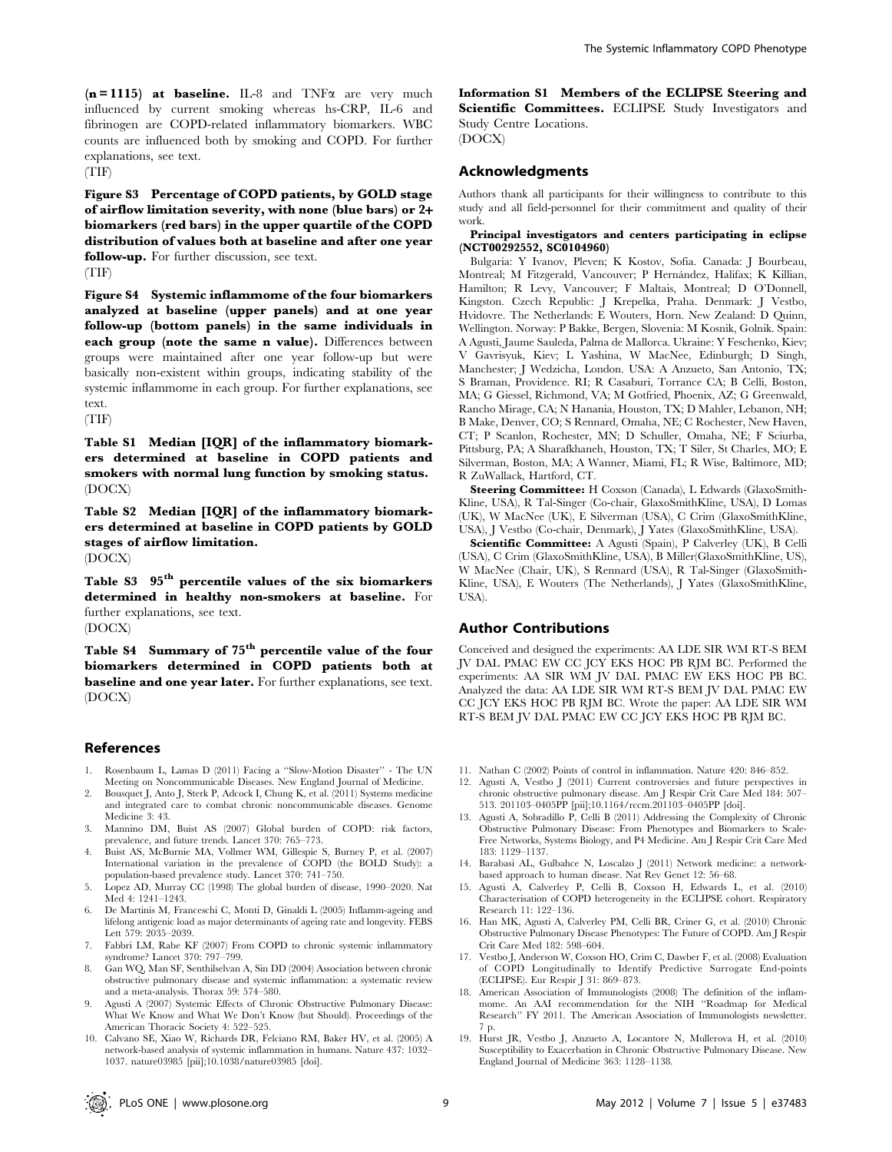$(n = 1115)$  at baseline. IL-8 and TNF $\alpha$  are very much influenced by current smoking whereas hs-CRP, IL-6 and fibrinogen are COPD-related inflammatory biomarkers. WBC counts are influenced both by smoking and COPD. For further explanations, see text.

(TIF)

Figure S3 Percentage of COPD patients, by GOLD stage of airflow limitation severity, with none (blue bars) or 2+ biomarkers (red bars) in the upper quartile of the COPD distribution of values both at baseline and after one year follow-up. For further discussion, see text.

(TIF)

Figure S4 Systemic inflammome of the four biomarkers analyzed at baseline (upper panels) and at one year follow-up (bottom panels) in the same individuals in each group (note the same n value). Differences between groups were maintained after one year follow-up but were basically non-existent within groups, indicating stability of the systemic inflammome in each group. For further explanations, see text.

(TIF)

Table S1 Median [IQR] of the inflammatory biomarkers determined at baseline in COPD patients and smokers with normal lung function by smoking status. (DOCX)

Table S2 Median [IQR] of the inflammatory biomarkers determined at baseline in COPD patients by GOLD stages of airflow limitation. (DOCX)

Table S3  $95<sup>th</sup>$  percentile values of the six biomarkers determined in healthy non-smokers at baseline. For further explanations, see text. (DOCX)

Table S4 Summary of 75<sup>th</sup> percentile value of the four biomarkers determined in COPD patients both at baseline and one year later. For further explanations, see text. (DOCX)

## References

- 1. Rosenbaum L, Lamas D (2011) Facing a ''Slow-Motion Disaster'' The UN Meeting on Noncommunicable Diseases. New England Journal of Medicine.
- 2. Bousquet J, Anto J, Sterk P, Adcock I, Chung K, et al. (2011) Systems medicine and integrated care to combat chronic noncommunicable diseases. Genome Medicine 3: 43.
- 3. Mannino DM, Buist AS (2007) Global burden of COPD: risk factors, prevalence, and future trends. Lancet 370: 765–773.
- 4. Buist AS, McBurnie MA, Vollmer WM, Gillespie S, Burney P, et al. (2007) International variation in the prevalence of COPD (the BOLD Study): a population-based prevalence study. Lancet 370: 741–750.
- 5. Lopez AD, Murray CC (1998) The global burden of disease, 1990–2020. Nat Med 4: 1241–1243.
- 6. De Martinis M, Franceschi C, Monti D, Ginaldi L (2005) Inflamm-ageing and lifelong antigenic load as major determinants of ageing rate and longevity. FEBS Lett 579: 2035–2039.
- 7. Fabbri LM, Rabe KF (2007) From COPD to chronic systemic inflammatory syndrome? Lancet 370: 797–799.
- 8. Gan WQ, Man SF, Senthilselvan A, Sin DD (2004) Association between chronic obstructive pulmonary disease and systemic inflammation: a systematic review and a meta-analysis. Thorax 59: 574–580.
- 9. Agusti A (2007) Systemic Effects of Chronic Obstructive Pulmonary Disease: What We Know and What We Don't Know (but Should). Proceedings of the American Thoracic Society 4: 522–525.
- 10. Calvano SE, Xiao W, Richards DR, Felciano RM, Baker HV, et al. (2005) A network-based analysis of systemic inflammation in humans. Nature 437: 1032– 1037. nature03985 [pii];10.1038/nature03985 [doi].

Information S1 Members of the ECLIPSE Steering and Scientific Committees. ECLIPSE Study Investigators and Study Centre Locations.

(DOCX)

## Acknowledgments

Authors thank all participants for their willingness to contribute to this study and all field-personnel for their commitment and quality of their work.

Principal investigators and centers participating in eclipse (NCT00292552, SC0104960)

Bulgaria: Y Ivanov, Pleven; K Kostov, Sofia. Canada: J Bourbeau, Montreal; M Fitzgerald, Vancouver; P Hernández, Halifax; K Killian, Hamilton; R Levy, Vancouver; F Maltais, Montreal; D O'Donnell, Kingston. Czech Republic: J Krepelka, Praha. Denmark: J Vestbo, Hvidovre. The Netherlands: E Wouters, Horn. New Zealand: D Quinn, Wellington. Norway: P Bakke, Bergen, Slovenia: M Kosnik, Golnik. Spain: A Agusti, Jaume Sauleda, Palma de Mallorca. Ukraine: Y Feschenko, Kiev; V Gavrisyuk, Kiev; L Yashina, W MacNee, Edinburgh; D Singh, Manchester; J Wedzicha, London. USA: A Anzueto, San Antonio, TX; S Braman, Providence. RI; R Casaburi, Torrance CA; B Celli, Boston, MA; G Giessel, Richmond, VA; M Gotfried, Phoenix, AZ; G Greenwald, Rancho Mirage, CA; N Hanania, Houston, TX; D Mahler, Lebanon, NH; B Make, Denver, CO; S Rennard, Omaha, NE; C Rochester, New Haven, CT; P Scanlon, Rochester, MN; D Schuller, Omaha, NE; F Sciurba, Pittsburg, PA; A Sharafkhaneh, Houston, TX; T Siler, St Charles, MO; E Silverman, Boston, MA; A Wanner, Miami, FL; R Wise, Baltimore, MD; R ZuWallack, Hartford, CT.

Steering Committee: H Coxson (Canada), L Edwards (GlaxoSmith-Kline, USA), R Tal-Singer (Co-chair, GlaxoSmithKline, USA), D Lomas (UK), W MacNee (UK), E Silverman (USA), C Crim (GlaxoSmithKline, USA), J Vestbo (Co-chair, Denmark), J Yates (GlaxoSmithKline, USA).

Scientific Committee: A Agusti (Spain), P Calverley (UK), B Celli (USA), C Crim (GlaxoSmithKline, USA), B Miller(GlaxoSmithKline, US), W MacNee (Chair, UK), S Rennard (USA), R Tal-Singer (GlaxoSmith-Kline, USA), E Wouters (The Netherlands), J Yates (GlaxoSmithKline, USA).

#### Author Contributions

Conceived and designed the experiments: AA LDE SIR WM RT-S BEM JV DAL PMAC EW CC JCY EKS HOC PB RJM BC. Performed the experiments: AA SIR WM JV DAL PMAC EW EKS HOC PB BC. Analyzed the data: AA LDE SIR WM RT-S BEM JV DAL PMAC EW CC JCY EKS HOC PB RJM BC. Wrote the paper: AA LDE SIR WM RT-S BEM JV DAL PMAC EW CC JCY EKS HOC PB RJM BC.

- 11. Nathan C (2002) Points of control in inflammation. Nature 420: 846–852.
- 12. Agusti A, Vestbo J (2011) Current controversies and future perspectives in chronic obstructive pulmonary disease. Am J Respir Crit Care Med 184: 507– 513. 201103–0405PP [pii];10.1164/rccm.201103–0405PP [doi].
- 13. Agusti A, Sobradillo P, Celli B (2011) Addressing the Complexity of Chronic Obstructive Pulmonary Disease: From Phenotypes and Biomarkers to Scale-Free Networks, Systems Biology, and P4 Medicine. Am J Respir Crit Care Med 183: 1129–1137.
- 14. Barabasi AL, Gulbahce N, Loscalzo J (2011) Network medicine: a networkbased approach to human disease. Nat Rev Genet 12: 56–68.
- 15. Agusti A, Calverley P, Celli B, Coxson H, Edwards L, et al. (2010) Characterisation of COPD heterogeneity in the ECLIPSE cohort. Respiratory Research 11: 122–136.
- 16. Han MK, Agusti A, Calverley PM, Celli BR, Criner G, et al. (2010) Chronic Obstructive Pulmonary Disease Phenotypes: The Future of COPD. Am J Respir Crit Care Med 182: 598–604.
- 17. Vestbo J, Anderson W, Coxson HO, Crim C, Dawber F, et al. (2008) Evaluation of COPD Longitudinally to Identify Predictive Surrogate End-points (ECLIPSE). Eur Respir J 31: 869–873.
- 18. American Association of Immunologists (2008) The definition of the inflam-mome. An AAI recommendation for the NIH ''Roadmap for Medical Research'' FY 2011. The American Association of Immunologists newsletter. 7 p.
- 19. Hurst JR, Vestbo J, Anzueto A, Locantore N, Mullerova H, et al. (2010) Susceptibility to Exacerbation in Chronic Obstructive Pulmonary Disease. New England Journal of Medicine 363: 1128–1138.